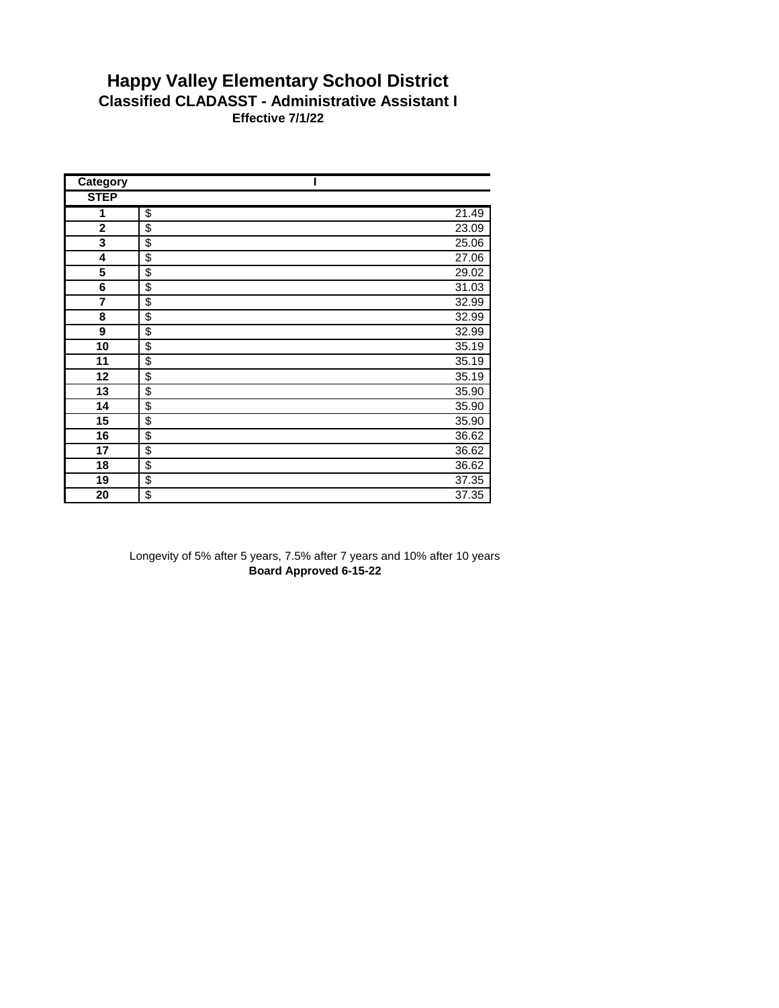## **Happy Valley Elementary School District Classified CLADASST - Administrative Assistant I Effective 7/1/22**

| Category    |                         |       |
|-------------|-------------------------|-------|
| <b>STEP</b> |                         |       |
| 1           | \$                      | 21.49 |
| $\mathbf 2$ | \$                      | 23.09 |
| 3           | \$                      | 25.06 |
| 4           | \$                      | 27.06 |
| 5           | \$                      | 29.02 |
| 6           | $\overline{\mathbf{e}}$ | 31.03 |
| 7           | \$                      | 32.99 |
| 8           | \$                      | 32.99 |
| 9           | \$                      | 32.99 |
| 10          | \$                      | 35.19 |
| 11          | \$                      | 35.19 |
| 12          | \$                      | 35.19 |
| 13          | \$                      | 35.90 |
| 14          | \$                      | 35.90 |
| 15          | \$                      | 35.90 |
| 16          | \$                      | 36.62 |
| 17          | \$                      | 36.62 |
| 18          | \$                      | 36.62 |
| 19          | \$                      | 37.35 |
| 20          | \$                      | 37.35 |

Longevity of 5% after 5 years, 7.5% after 7 years and 10% after 10 years **Board Approved 6-15-22**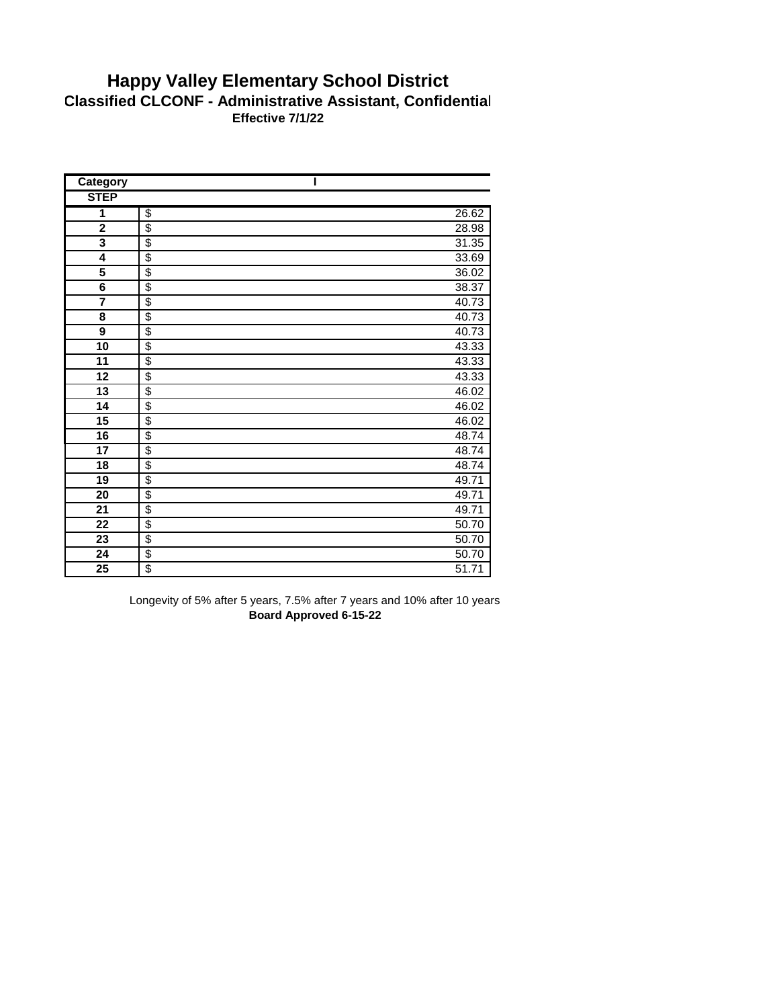## **Happy Valley Elementary School District Classified CLCONF - Administrative Assistant, Confidential Effective 7/1/22**

| Category                |                         |       |
|-------------------------|-------------------------|-------|
| <b>STEP</b>             |                         |       |
| 1                       | $\overline{\$}$         | 26.62 |
| $\mathbf 2$             | $\overline{\$}$         | 28.98 |
| $\overline{\mathbf{3}}$ | $\overline{\$}$         | 31.35 |
| 4                       | \$                      | 33.69 |
| $\overline{\mathbf{5}}$ | \$                      | 36.02 |
| $\overline{\mathbf{6}}$ | $\overline{\mathbf{S}}$ | 38.37 |
| $\overline{\mathbf{7}}$ | \$                      | 40.73 |
| 8                       | \$                      | 40.73 |
| 9                       | \$                      | 40.73 |
| $\overline{10}$         | \$                      | 43.33 |
| 11                      | \$                      | 43.33 |
| 12                      | \$                      | 43.33 |
| 13                      | \$                      | 46.02 |
| 14                      | $\overline{\$}$         | 46.02 |
| 15                      | \$                      | 46.02 |
| 16                      | \$                      | 48.74 |
| 17                      | \$                      | 48.74 |
| 18                      | \$                      | 48.74 |
| 19                      | \$                      | 49.71 |
| 20                      | \$                      | 49.71 |
| 21                      | $\overline{\$}$         | 49.71 |
| $\overline{22}$         | $\overline{\$}$         | 50.70 |
| $\overline{23}$         | \$                      | 50.70 |
| $\overline{24}$         | \$                      | 50.70 |
| 25                      | $\overline{\mathbf{S}}$ | 51.71 |

Longevity of 5% after 5 years, 7.5% after 7 years and 10% after 10 years **Board Approved 6-15-22**